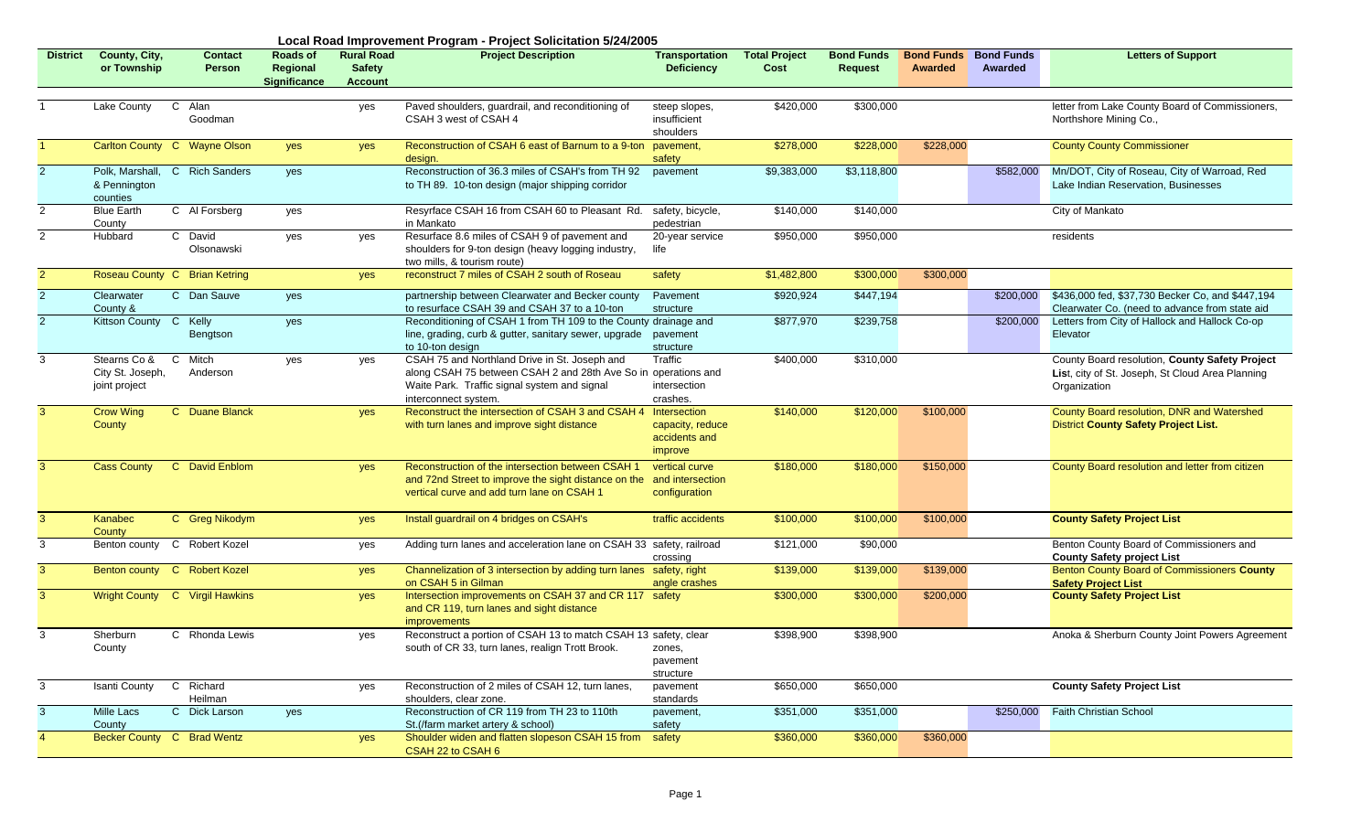|                 | Local Road Improvement Program - Project Solicitation 5/24/2005 |                                     |                                             |                                                      |                                                                                                                                                                                         |                                                              |                              |                                     |                              |                              |                                                                                                                    |
|-----------------|-----------------------------------------------------------------|-------------------------------------|---------------------------------------------|------------------------------------------------------|-----------------------------------------------------------------------------------------------------------------------------------------------------------------------------------------|--------------------------------------------------------------|------------------------------|-------------------------------------|------------------------------|------------------------------|--------------------------------------------------------------------------------------------------------------------|
| <b>District</b> | County, City,<br>or Township                                    | <b>Contact</b><br>Person            | Roads of<br>Regional<br><b>Significance</b> | <b>Rural Road</b><br><b>Safety</b><br><b>Account</b> | <b>Project Description</b>                                                                                                                                                              | <b>Transportation</b><br><b>Deficiency</b>                   | <b>Total Project</b><br>Cost | <b>Bond Funds</b><br><b>Request</b> | <b>Bond Funds</b><br>Awarded | <b>Bond Funds</b><br>Awarded | <b>Letters of Support</b>                                                                                          |
|                 | Lake County                                                     | $\mathbf{C}$<br>Alan<br>Goodman     |                                             | yes                                                  | Paved shoulders, guardrail, and reconditioning of<br>CSAH 3 west of CSAH 4                                                                                                              | steep slopes,<br>insufficient<br>shoulders                   | \$420,000                    | \$300,000                           |                              |                              | letter from Lake County Board of Commissioners,<br>Northshore Mining Co.,                                          |
|                 |                                                                 | Carlton County C Wayne Olson        | yes                                         | yes                                                  | Reconstruction of CSAH 6 east of Barnum to a 9-ton<br>desian.                                                                                                                           | pavement,<br>safety                                          | \$278,000                    | \$228,000                           | \$228,000                    |                              | <b>County County Commissioner</b>                                                                                  |
| $\overline{2}$  | Polk, Marshall,<br>& Pennington<br>counties                     | $\mathbf{C}$<br><b>Rich Sanders</b> | yes                                         |                                                      | Reconstruction of 36.3 miles of CSAH's from TH 92<br>to TH 89. 10-ton design (major shipping corridor                                                                                   | pavement                                                     | \$9,383,000                  | \$3,118,800                         |                              | \$582,000                    | Mn/DOT, City of Roseau, City of Warroad, Red<br>Lake Indian Reservation, Businesses                                |
| $\overline{2}$  | <b>Blue Earth</b><br>County                                     | C Al Forsberg                       | yes                                         |                                                      | Resyrface CSAH 16 from CSAH 60 to Pleasant Rd.<br>in Mankato                                                                                                                            | safety, bicycle,<br>pedestrian                               | \$140,000                    | \$140,000                           |                              |                              | City of Mankato                                                                                                    |
| $\overline{2}$  | Hubbard                                                         | C David<br>Olsonawski               | yes                                         | yes                                                  | Resurface 8.6 miles of CSAH 9 of pavement and<br>shoulders for 9-ton design (heavy logging industry,<br>two mills, & tourism route)                                                     | 20-year service<br>life                                      | \$950,000                    | \$950,000                           |                              |                              | residents                                                                                                          |
| 2               |                                                                 | Roseau County C Brian Ketring       |                                             | yes                                                  | reconstruct 7 miles of CSAH 2 south of Roseau                                                                                                                                           | safety                                                       | \$1,482,800                  | \$300,000                           | \$300,000                    |                              |                                                                                                                    |
| $\overline{2}$  | Clearwater<br>County &                                          | $\mathbf{C}$<br>Dan Sauve           | yes                                         |                                                      | partnership between Clearwater and Becker county<br>to resurface CSAH 39 and CSAH 37 to a 10-ton                                                                                        | Pavement<br>structure                                        | \$920,924                    | \$447,194                           |                              | \$200,000                    | \$436,000 fed, \$37,730 Becker Co, and \$447,194<br>Clearwater Co. (need to advance from state aid                 |
| 2               | Kittson County C Kelly                                          | Bengtson                            | yes                                         |                                                      | Reconditioning of CSAH 1 from TH 109 to the County drainage and<br>line, grading, curb & gutter, sanitary sewer, upgrade<br>to 10-ton design                                            | pavement<br>structure                                        | \$877,970                    | \$239,758                           |                              | \$200,000                    | Letters from City of Hallock and Hallock Co-op<br>Elevator                                                         |
| 3               | Stearns Co &<br>City St. Joseph,<br>joint project               | $\mathsf{C}$<br>Mitch<br>Anderson   | yes                                         | yes                                                  | CSAH 75 and Northland Drive in St. Joseph and<br>along CSAH 75 between CSAH 2 and 28th Ave So in operations and<br>Waite Park. Traffic signal system and signal<br>interconnect system. | Traffic<br>intersection<br>crashes.                          | \$400,000                    | \$310,000                           |                              |                              | County Board resolution, County Safety Project<br>List, city of St. Joseph, St Cloud Area Planning<br>Organization |
| 3               | <b>Crow Wing</b><br>County                                      | C Duane Blanck                      |                                             | yes                                                  | Reconstruct the intersection of CSAH 3 and CSAH 4<br>with turn lanes and improve sight distance                                                                                         | Intersection<br>capacity, reduce<br>accidents and<br>improve | \$140,000                    | \$120,000                           | \$100,000                    |                              | County Board resolution, DNR and Watershed<br><b>District County Safety Project List.</b>                          |
| 3               | <b>Cass County</b>                                              | C David Enblom                      |                                             | yes                                                  | Reconstruction of the intersection between CSAH 1<br>and 72nd Street to improve the sight distance on the<br>vertical curve and add turn lane on CSAH 1                                 | vertical curve<br>and intersection<br>configuration          | \$180,000                    | \$180,000                           | \$150,000                    |                              | County Board resolution and letter from citizen                                                                    |
| 3               | Kanabec<br>County                                               | C Greg Nikodym                      |                                             | yes                                                  | Install guardrail on 4 bridges on CSAH's                                                                                                                                                | traffic accidents                                            | \$100,000                    | \$100,000                           | \$100,000                    |                              | <b>County Safety Project List</b>                                                                                  |
| 3               |                                                                 | Benton county C Robert Kozel        |                                             | yes                                                  | Adding turn lanes and acceleration lane on CSAH 33 safety, railroad                                                                                                                     | crossing                                                     | \$121,000                    | \$90,000                            |                              |                              | Benton County Board of Commissioners and<br><b>County Safety project List</b>                                      |
| 3               |                                                                 | Benton county C Robert Kozel        |                                             | yes                                                  | Channelization of 3 intersection by adding turn lanes<br>on CSAH 5 in Gilman                                                                                                            | safety, right<br>angle crashes                               | \$139,000                    | \$139,000                           | \$139,000                    |                              | Benton County Board of Commissioners County<br><b>Safety Project List</b>                                          |
| 3               |                                                                 | Wright County C Virgil Hawkins      |                                             | yes                                                  | Intersection improvements on CSAH 37 and CR 117 safety<br>and CR 119, turn lanes and sight distance<br><i>improvements</i>                                                              |                                                              | \$300,000                    | \$300,000                           | \$200,000                    |                              | <b>County Safety Project List</b>                                                                                  |
| 3               | Sherburn<br>County                                              | C Rhonda Lewis                      |                                             | yes                                                  | Reconstruct a portion of CSAH 13 to match CSAH 13 safety, clear<br>south of CR 33, turn lanes, realign Trott Brook.                                                                     | zones,<br>pavement<br>structure                              | \$398,900                    | \$398,900                           |                              |                              | Anoka & Sherburn County Joint Powers Agreement                                                                     |
| 3               | Isanti County                                                   | C Richard<br>Heilman                |                                             | yes                                                  | Reconstruction of 2 miles of CSAH 12, turn lanes,<br>shoulders, clear zone.                                                                                                             | pavement<br>standards                                        | \$650,000                    | \$650,000                           |                              |                              | <b>County Safety Project List</b>                                                                                  |
| $\mathbf{3}$    | <b>Mille Lacs</b><br>County                                     | C Dick Larson                       | yes                                         |                                                      | Reconstruction of CR 119 from TH 23 to 110th<br>St. (/farm market artery & school)                                                                                                      | pavement,<br>safety                                          | \$351,000                    | \$351,000                           |                              | \$250,000                    | <b>Faith Christian School</b>                                                                                      |
|                 |                                                                 | Becker County C Brad Wentz          |                                             | yes                                                  | Shoulder widen and flatten slopeson CSAH 15 from<br>CSAH 22 to CSAH 6                                                                                                                   | safety                                                       | \$360,000                    | \$360,000                           | \$360,000                    |                              |                                                                                                                    |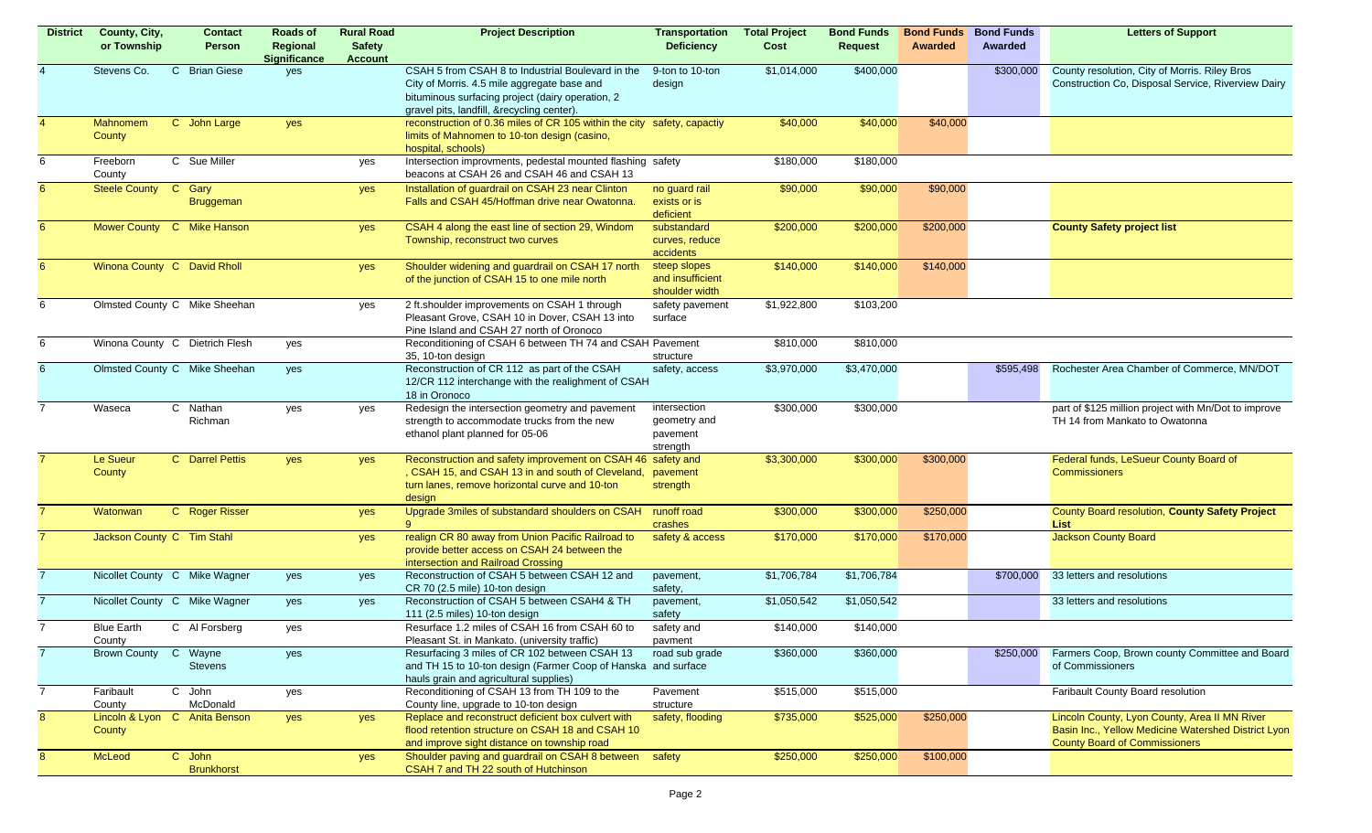| <b>District</b> | County, City,<br>or Township | <b>Contact</b><br>Person           | Roads of<br>Regional<br><b>Significance</b> | <b>Rural Road</b><br><b>Safety</b><br><b>Account</b> | <b>Project Description</b>                                                                                                                                                                         | <b>Transportation</b><br><b>Deficiency</b>           | <b>Total Project</b><br>Cost | <b>Bond Funds</b><br>Request | <b>Bond Funds</b><br>Awarded | <b>Bond Funds</b><br><b>Awarded</b> | <b>Letters of Support</b>                                                                                                                    |
|-----------------|------------------------------|------------------------------------|---------------------------------------------|------------------------------------------------------|----------------------------------------------------------------------------------------------------------------------------------------------------------------------------------------------------|------------------------------------------------------|------------------------------|------------------------------|------------------------------|-------------------------------------|----------------------------------------------------------------------------------------------------------------------------------------------|
|                 | Stevens Co.                  | $\mathbf{C}$<br><b>Brian Giese</b> | yes                                         |                                                      | CSAH 5 from CSAH 8 to Industrial Boulevard in the<br>City of Morris. 4.5 mile aggregate base and<br>bituminous surfacing project (dairy operation, 2<br>gravel pits, landfill, &recycling center). | 9-ton to 10-ton<br>design                            | \$1,014,000                  | \$400,000                    |                              | \$300,000                           | County resolution, City of Morris. Riley Bros<br>Construction Co, Disposal Service, Riverview Dairy                                          |
| 4               | <b>Mahnomem</b><br>County    | C John Large                       | yes                                         |                                                      | reconstruction of 0.36 miles of CR 105 within the city safety, capactiy<br>limits of Mahnomen to 10-ton design (casino,<br>hospital, schools)                                                      |                                                      | \$40,000                     | \$40,000                     | \$40,000                     |                                     |                                                                                                                                              |
| 6               | Freeborn<br>County           | C Sue Miller                       |                                             | yes                                                  | Intersection improvments, pedestal mounted flashing safety<br>beacons at CSAH 26 and CSAH 46 and CSAH 13                                                                                           |                                                      | \$180,000                    | \$180,000                    |                              |                                     |                                                                                                                                              |
| $6^{\circ}$     | Steele County C Gary         | Bruggeman                          |                                             | yes                                                  | Installation of guardrail on CSAH 23 near Clinton<br>Falls and CSAH 45/Hoffman drive near Owatonna.                                                                                                | no guard rail<br>exists or is<br>deficient           | \$90,000                     | \$90,000                     | \$90,000                     |                                     |                                                                                                                                              |
| 6               |                              | Mower County C Mike Hanson         |                                             | yes                                                  | CSAH 4 along the east line of section 29, Windom<br>Township, reconstruct two curves                                                                                                               | substandard<br>curves, reduce<br>accidents           | \$200,000                    | \$200,000                    | \$200,000                    |                                     | <b>County Safety project list</b>                                                                                                            |
| 6               | Winona County C David Rholl  |                                    |                                             | yes                                                  | Shoulder widening and guardrail on CSAH 17 north<br>of the junction of CSAH 15 to one mile north                                                                                                   | steep slopes<br>and insufficient<br>shoulder width   | \$140,000                    | \$140,000                    | \$140,000                    |                                     |                                                                                                                                              |
| 6               |                              | Olmsted County C Mike Sheehan      |                                             | yes                                                  | 2 ft.shoulder improvements on CSAH 1 through<br>Pleasant Grove, CSAH 10 in Dover, CSAH 13 into<br>Pine Island and CSAH 27 north of Oronoco                                                         | safety pavement<br>surface                           | \$1,922,800                  | \$103,200                    |                              |                                     |                                                                                                                                              |
| 6               |                              | Winona County C Dietrich Flesh     | yes                                         |                                                      | Reconditioning of CSAH 6 between TH 74 and CSAH Pavement<br>35, 10-ton design                                                                                                                      | structure                                            | \$810,000                    | \$810,000                    |                              |                                     |                                                                                                                                              |
| 6               |                              | Olmsted County C Mike Sheehan      | yes                                         |                                                      | Reconstruction of CR 112 as part of the CSAH<br>12/CR 112 interchange with the realighment of CSAH<br>18 in Oronoco                                                                                | safety, access                                       | \$3,970,000                  | \$3,470,000                  |                              | \$595,498                           | Rochester Area Chamber of Commerce, MN/DOT                                                                                                   |
| $\overline{7}$  | Waseca                       | C Nathan<br>Richman                | yes                                         | yes                                                  | Redesign the intersection geometry and pavement<br>strength to accommodate trucks from the new<br>ethanol plant planned for 05-06                                                                  | intersection<br>geometry and<br>pavement<br>strength | \$300,000                    | \$300,000                    |                              |                                     | part of \$125 million project with Mn/Dot to improve<br>TH 14 from Mankato to Owatonna                                                       |
|                 | Le Sueur<br>County           | C Darrel Pettis                    | yes                                         | yes                                                  | Reconstruction and safety improvement on CSAH 46 safety and<br>, CSAH 15, and CSAH 13 in and south of Cleveland,<br>turn lanes, remove horizontal curve and 10-ton<br>design                       | pavement<br>strength                                 | \$3,300,000                  | \$300,000                    | \$300,000                    |                                     | Federal funds, LeSueur County Board of<br><b>Commissioners</b>                                                                               |
|                 | Watonwan                     | C Roger Risser                     |                                             | yes                                                  | Upgrade 3miles of substandard shoulders on CSAH                                                                                                                                                    | runoff road<br>crashes                               | \$300,000                    | \$300,000                    | \$250,000                    |                                     | County Board resolution, County Safety Project<br><b>List</b>                                                                                |
|                 | Jackson County C Tim Stahl   |                                    |                                             | yes                                                  | realign CR 80 away from Union Pacific Railroad to<br>provide better access on CSAH 24 between the<br>intersection and Railroad Crossing                                                            | safety & access                                      | \$170,000                    | \$170,000                    | \$170,000                    |                                     | <b>Jackson County Board</b>                                                                                                                  |
|                 |                              | Nicollet County C Mike Wagner      | yes                                         | yes                                                  | Reconstruction of CSAH 5 between CSAH 12 and<br>CR 70 (2.5 mile) 10-ton design                                                                                                                     | pavement,<br>safety,                                 | \$1,706,784                  | \$1,706,784                  |                              | \$700,000                           | 33 letters and resolutions                                                                                                                   |
|                 |                              | Nicollet County C Mike Wagner      | yes                                         | yes                                                  | Reconstruction of CSAH 5 between CSAH4 & TH<br>111 (2.5 miles) 10-ton design                                                                                                                       | pavement,<br>safety                                  | \$1,050,542                  | \$1,050,542                  |                              |                                     | 33 letters and resolutions                                                                                                                   |
| 7               | <b>Blue Earth</b><br>County  | C Al Forsberg                      | yes                                         |                                                      | Resurface 1.2 miles of CSAH 16 from CSAH 60 to<br>Pleasant St. in Mankato. (university traffic)                                                                                                    | safety and<br>pavment                                | \$140,000                    | \$140,000                    |                              |                                     |                                                                                                                                              |
| $\overline{7}$  | Brown County C Wayne         | <b>Stevens</b>                     | yes                                         |                                                      | Resurfacing 3 miles of CR 102 between CSAH 13<br>and TH 15 to 10-ton design (Farmer Coop of Hanska and surface<br>hauls grain and agricultural supplies)                                           | road sub grade                                       | \$360,000                    | \$360,000                    |                              | \$250,000                           | Farmers Coop, Brown county Committee and Board<br>of Commissioners                                                                           |
| $\overline{7}$  | Faribault<br>County          | C John<br>McDonald                 | yes                                         |                                                      | Reconditioning of CSAH 13 from TH 109 to the<br>County line, upgrade to 10-ton design                                                                                                              | Pavement<br>structure                                | \$515,000                    | \$515,000                    |                              |                                     | Faribault County Board resolution                                                                                                            |
| 8 <sup>°</sup>  | County                       | Lincoln & Lyon C Anita Benson      | yes                                         | yes                                                  | Replace and reconstruct deficient box culvert with<br>flood retention structure on CSAH 18 and CSAH 10<br>and improve sight distance on township road                                              | safety, flooding                                     | \$735,000                    | \$525,000                    | \$250,000                    |                                     | Lincoln County, Lyon County, Area II MN River<br>Basin Inc., Yellow Medicine Watershed District Lyon<br><b>County Board of Commissioners</b> |
| 8               | McLeod                       | C John<br><b>Brunkhorst</b>        |                                             | yes                                                  | Shoulder paving and guardrail on CSAH 8 between<br>CSAH 7 and TH 22 south of Hutchinson                                                                                                            | safety                                               | \$250,000                    | \$250,000                    | \$100,000                    |                                     |                                                                                                                                              |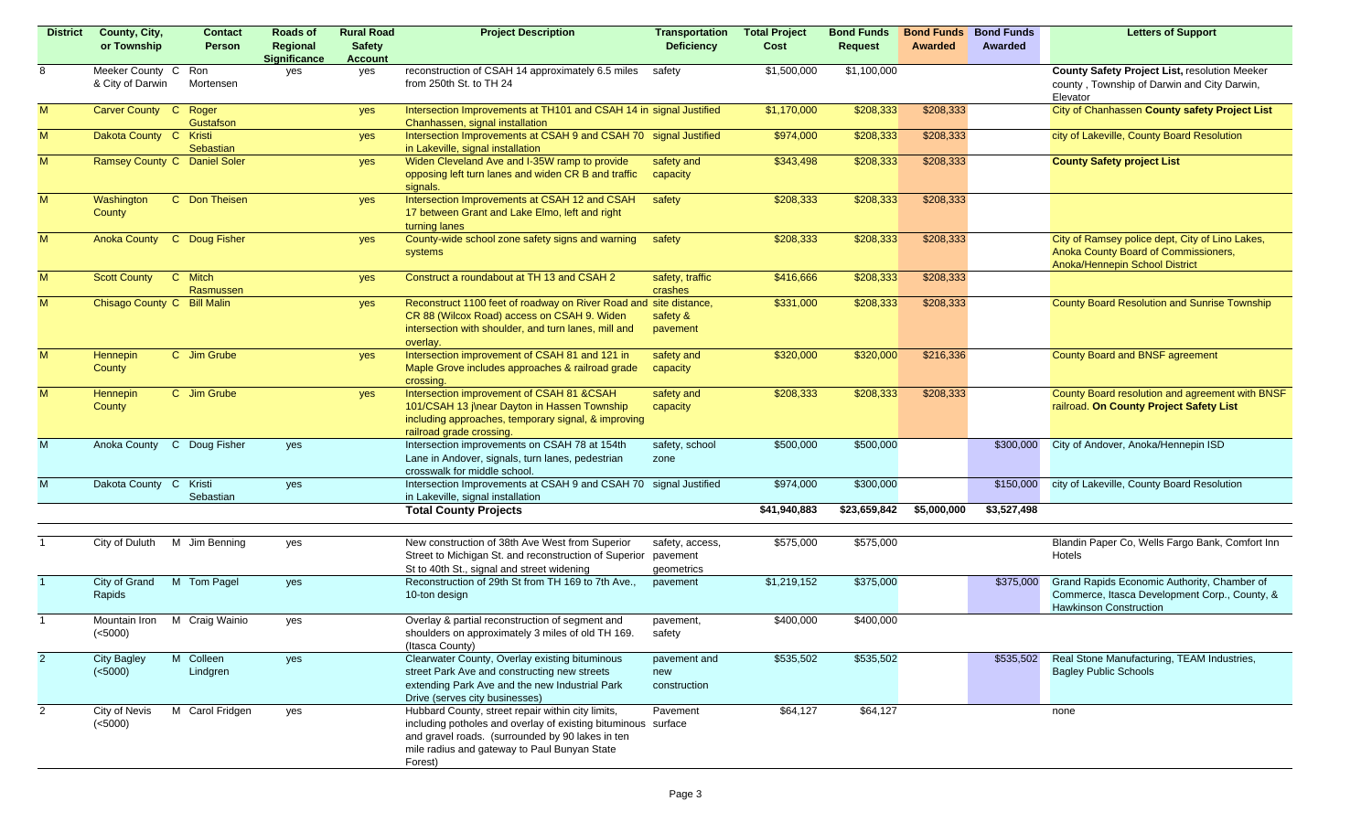| <b>District</b> | County, City,               | <b>Contact</b>               | Roads of                        | <b>Rural Road</b>     | <b>Project Description</b>                                                                            | <b>Transportation</b> | <b>Total Project</b> | <b>Bond Funds</b> | <b>Bond Funds</b> | <b>Bond Funds</b> | <b>Letters of Support</b>                       |
|-----------------|-----------------------------|------------------------------|---------------------------------|-----------------------|-------------------------------------------------------------------------------------------------------|-----------------------|----------------------|-------------------|-------------------|-------------------|-------------------------------------------------|
|                 | or Township                 | Person                       | Regional<br><b>Significance</b> | <b>Safety</b>         |                                                                                                       | <b>Deficiency</b>     | Cost                 | <b>Request</b>    | Awarded           | Awarded           |                                                 |
| 8               | Meeker County C             | Ron                          | yes                             | <b>Account</b><br>yes | reconstruction of CSAH 14 approximately 6.5 miles                                                     | safety                | \$1,500,000          | \$1,100,000       |                   |                   | County Safety Project List, resolution Meeker   |
|                 | & City of Darwin            | Mortensen                    |                                 |                       | from 250th St. to TH 24                                                                               |                       |                      |                   |                   |                   | county, Township of Darwin and City Darwin,     |
|                 |                             |                              |                                 |                       |                                                                                                       |                       |                      |                   |                   |                   | Elevator                                        |
| M               | Carver County C             | Roger                        |                                 | yes                   | Intersection Improvements at TH101 and CSAH 14 in signal Justified                                    |                       | \$1,170,000          | \$208,333         | \$208,333         |                   | City of Chanhassen County safety Project List   |
|                 |                             | Gustafson                    |                                 |                       | Chanhassen, signal installation                                                                       |                       |                      |                   |                   |                   |                                                 |
| M               | Dakota County C Kristi      | Sebastian                    |                                 | yes                   | Intersection Improvements at CSAH 9 and CSAH 70 signal Justified<br>in Lakeville, signal installation |                       | \$974,000            | \$208,333         | \$208,333         |                   | city of Lakeville, County Board Resolution      |
| M               |                             | Ramsey County C Daniel Soler |                                 | yes                   | Widen Cleveland Ave and I-35W ramp to provide                                                         | safety and            | \$343,498            | \$208,333         | \$208,333         |                   | <b>County Safety project List</b>               |
|                 |                             |                              |                                 |                       | opposing left turn lanes and widen CR B and traffic                                                   | capacity              |                      |                   |                   |                   |                                                 |
|                 |                             |                              |                                 |                       | signals.                                                                                              |                       |                      |                   |                   |                   |                                                 |
| M               | Washington                  | C Don Theisen                |                                 | yes                   | Intersection Improvements at CSAH 12 and CSAH                                                         | safety                | \$208,333            | \$208,333         | \$208,333         |                   |                                                 |
|                 | County                      |                              |                                 |                       | 17 between Grant and Lake Elmo, left and right                                                        |                       |                      |                   |                   |                   |                                                 |
| M               |                             | Anoka County C Doug Fisher   |                                 | yes                   | turning lanes<br>County-wide school zone safety signs and warning                                     | safety                | \$208,333            | \$208,333         | \$208,333         |                   | City of Ramsey police dept, City of Lino Lakes, |
|                 |                             |                              |                                 |                       | systems                                                                                               |                       |                      |                   |                   |                   | Anoka County Board of Commissioners,            |
|                 |                             |                              |                                 |                       |                                                                                                       |                       |                      |                   |                   |                   | Anoka/Hennepin School District                  |
| M               | <b>Scott County</b>         | C Mitch                      |                                 | yes                   | Construct a roundabout at TH 13 and CSAH 2                                                            | safety, traffic       | \$416,666            | \$208,333         | \$208,333         |                   |                                                 |
|                 |                             | Rasmussen                    |                                 |                       |                                                                                                       | crashes               |                      |                   |                   |                   |                                                 |
| M               | Chisago County C Bill Malin |                              |                                 | yes                   | Reconstruct 1100 feet of roadway on River Road and site distance,                                     |                       | \$331,000            | \$208,333         | \$208,333         |                   | County Board Resolution and Sunrise Township    |
|                 |                             |                              |                                 |                       | CR 88 (Wilcox Road) access on CSAH 9. Widen<br>intersection with shoulder, and turn lanes, mill and   | safety &<br>pavement  |                      |                   |                   |                   |                                                 |
|                 |                             |                              |                                 |                       | overlay.                                                                                              |                       |                      |                   |                   |                   |                                                 |
| M               | Hennepin                    | C Jim Grube                  |                                 | yes                   | Intersection improvement of CSAH 81 and 121 in                                                        | safety and            | \$320,000            | \$320,000         | \$216,336         |                   | County Board and BNSF agreement                 |
|                 | County                      |                              |                                 |                       | Maple Grove includes approaches & railroad grade                                                      | capacity              |                      |                   |                   |                   |                                                 |
|                 |                             |                              |                                 |                       | crossing.                                                                                             |                       |                      |                   |                   |                   |                                                 |
| M               | <b>Hennepin</b>             | C Jim Grube                  |                                 | yes                   | Intersection improvement of CSAH 81 &CSAH                                                             | safety and            | \$208,333            | \$208,333         | \$208,333         |                   | County Board resolution and agreement with BNSF |
|                 | County                      |                              |                                 |                       | 101/CSAH 13 j\near Dayton in Hassen Township<br>including approaches, temporary signal, & improving   | capacity              |                      |                   |                   |                   | railroad. On County Project Safety List         |
|                 |                             |                              |                                 |                       | railroad grade crossing.                                                                              |                       |                      |                   |                   |                   |                                                 |
| M               |                             | Anoka County C Doug Fisher   | yes                             |                       | Intersection improvements on CSAH 78 at 154th                                                         | safety, school        | \$500,000            | \$500,000         |                   | \$300,000         | City of Andover, Anoka/Hennepin ISD             |
|                 |                             |                              |                                 |                       | Lane in Andover, signals, turn lanes, pedestrian                                                      | zone                  |                      |                   |                   |                   |                                                 |
|                 |                             |                              |                                 |                       | crosswalk for middle school.                                                                          |                       |                      |                   |                   |                   |                                                 |
| M               | Dakota County C Kristi      | Sebastian                    | yes                             |                       | Intersection Improvements at CSAH 9 and CSAH 70<br>in Lakeville, signal installation                  | signal Justified      | \$974,000            | \$300,000         |                   | \$150,000         | city of Lakeville, County Board Resolution      |
|                 |                             |                              |                                 |                       | <b>Total County Projects</b>                                                                          |                       | \$41,940,883         | \$23,659,842      | \$5,000,000       | \$3,527,498       |                                                 |
|                 |                             |                              |                                 |                       |                                                                                                       |                       |                      |                   |                   |                   |                                                 |
|                 |                             | City of Duluth M Jim Benning | yes                             |                       | New construction of 38th Ave West from Superior                                                       | safety, access,       | \$575,000            | \$575,000         |                   |                   | Blandin Paper Co, Wells Fargo Bank, Comfort Inn |
|                 |                             |                              |                                 |                       | Street to Michigan St. and reconstruction of Superior                                                 | pavement              |                      |                   |                   |                   | Hotels                                          |
|                 |                             |                              |                                 |                       | St to 40th St., signal and street widening                                                            | geometrics            |                      |                   |                   |                   |                                                 |
|                 | City of Grand               | M Tom Pagel                  | yes                             |                       | Reconstruction of 29th St from TH 169 to 7th Ave.,                                                    | pavement              | \$1,219,152          | \$375,000         |                   | \$375,000         | Grand Rapids Economic Authority, Chamber of     |
|                 | Rapids                      |                              |                                 |                       | 10-ton design                                                                                         |                       |                      |                   |                   |                   | Commerce, Itasca Development Corp., County, &   |
|                 | Mountain Iron               | M Craig Wainio               | yes                             |                       | Overlay & partial reconstruction of segment and                                                       | pavement,             | \$400,000            | \$400,000         |                   |                   | <b>Hawkinson Construction</b>                   |
|                 | (<5000)                     |                              |                                 |                       | shoulders on approximately 3 miles of old TH 169.                                                     | safety                |                      |                   |                   |                   |                                                 |
|                 |                             |                              |                                 |                       | (Itasca County)                                                                                       |                       |                      |                   |                   |                   |                                                 |
| 2 <sup>1</sup>  | <b>City Bagley</b>          | M Colleen                    | yes                             |                       | Clearwater County, Overlay existing bituminous                                                        | pavement and          | \$535,502            | \$535,502         |                   | \$535,502         | Real Stone Manufacturing, TEAM Industries,      |
|                 | ( <b>5000</b> )             | Lindgren                     |                                 |                       | street Park Ave and constructing new streets                                                          | new                   |                      |                   |                   |                   | <b>Bagley Public Schools</b>                    |
|                 |                             |                              |                                 |                       | extending Park Ave and the new Industrial Park                                                        | construction          |                      |                   |                   |                   |                                                 |
| $\overline{2}$  | City of Nevis               | M Carol Fridgen              | yes                             |                       | Drive (serves city businesses)<br>Hubbard County, street repair within city limits,                   | Pavement              | \$64,127             | \$64,127          |                   |                   | none                                            |
|                 | ( <b>5000</b> )             |                              |                                 |                       | including potholes and overlay of existing bituminous surface                                         |                       |                      |                   |                   |                   |                                                 |
|                 |                             |                              |                                 |                       | and gravel roads. (surrounded by 90 lakes in ten                                                      |                       |                      |                   |                   |                   |                                                 |
|                 |                             |                              |                                 |                       | mile radius and gateway to Paul Bunyan State                                                          |                       |                      |                   |                   |                   |                                                 |
|                 |                             |                              |                                 |                       | Forest)                                                                                               |                       |                      |                   |                   |                   |                                                 |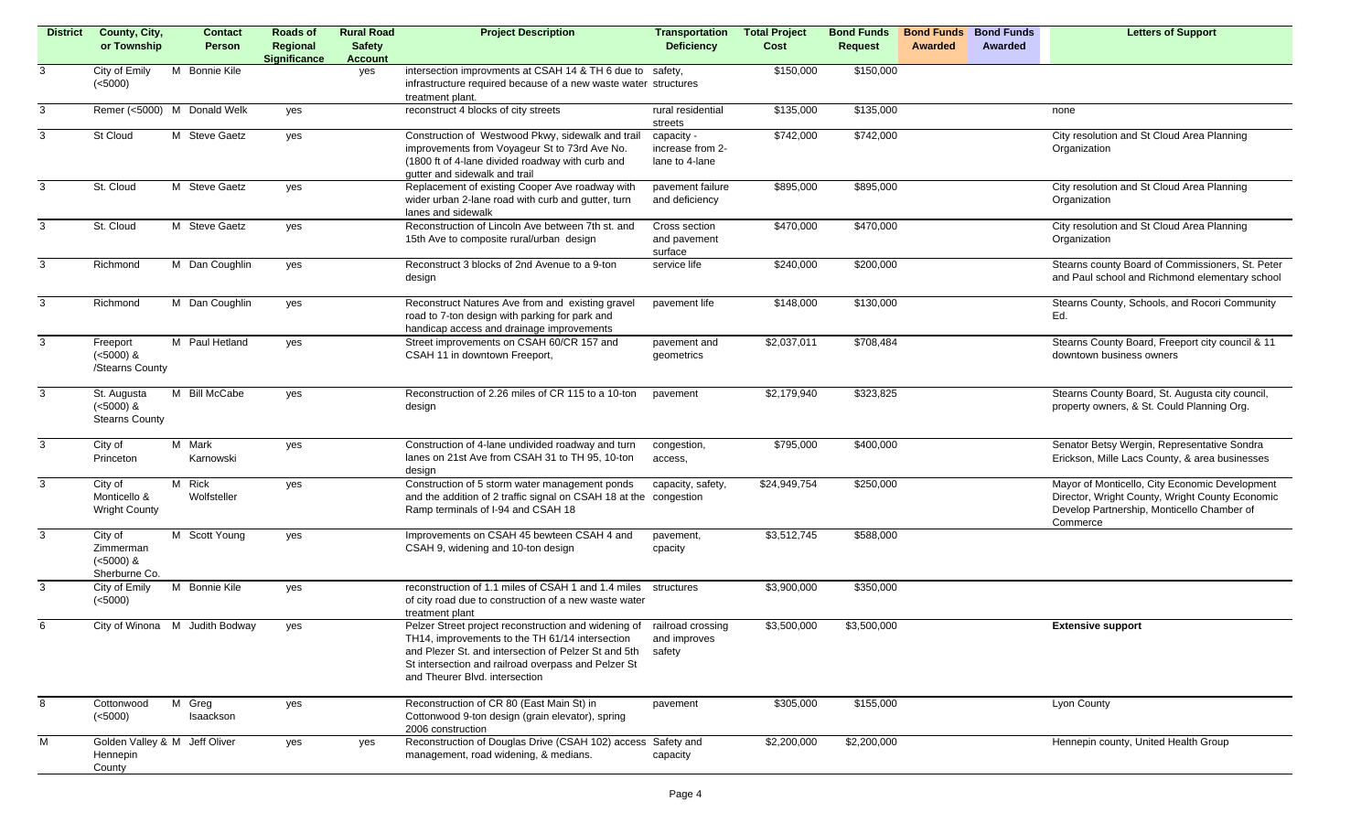| <b>District</b> | County, City,<br>or Township                         | <b>Contact</b><br>Person       | Roads of<br>Regional<br><b>Significance</b> | <b>Rural Road</b><br><b>Safety</b><br><b>Account</b> | <b>Project Description</b>                                                                                                                                                                                                                                                 | Transportation<br><b>Deficiency</b>              | <b>Total Project</b><br>Cost | <b>Bond Funds</b><br><b>Request</b> | <b>Bond Funds</b><br>Awarded | <b>Bond Funds</b><br>Awarded | <b>Letters of Support</b>                                                                                                                                   |
|-----------------|------------------------------------------------------|--------------------------------|---------------------------------------------|------------------------------------------------------|----------------------------------------------------------------------------------------------------------------------------------------------------------------------------------------------------------------------------------------------------------------------------|--------------------------------------------------|------------------------------|-------------------------------------|------------------------------|------------------------------|-------------------------------------------------------------------------------------------------------------------------------------------------------------|
| 3               | City of Emily<br>(<5000)                             | M Bonnie Kile                  |                                             | yes                                                  | intersection improvments at CSAH 14 & TH 6 due to safety,<br>infrastructure required because of a new waste water structures<br>treatment plant.                                                                                                                           |                                                  | \$150,000                    | \$150,000                           |                              |                              |                                                                                                                                                             |
| 3               |                                                      | Remer (<5000) M Donald Welk    | yes                                         |                                                      | reconstruct 4 blocks of city streets                                                                                                                                                                                                                                       | rural residential<br>streets                     | \$135,000                    | \$135,000                           |                              |                              | none                                                                                                                                                        |
| 3               | St Cloud                                             | M Steve Gaetz                  | yes                                         |                                                      | Construction of Westwood Pkwy, sidewalk and trail<br>improvements from Voyageur St to 73rd Ave No.<br>(1800 ft of 4-lane divided roadway with curb and<br>gutter and sidewalk and trail                                                                                    | capacity -<br>increase from 2-<br>lane to 4-lane | \$742,000                    | \$742,000                           |                              |                              | City resolution and St Cloud Area Planning<br>Organization                                                                                                  |
| 3               | St. Cloud                                            | M Steve Gaetz                  | yes                                         |                                                      | Replacement of existing Cooper Ave roadway with<br>wider urban 2-lane road with curb and gutter, turn<br>lanes and sidewalk                                                                                                                                                | pavement failure<br>and deficiency               | \$895,000                    | \$895,000                           |                              |                              | City resolution and St Cloud Area Planning<br>Organization                                                                                                  |
| 3               | St. Cloud                                            | M Steve Gaetz                  | yes                                         |                                                      | Reconstruction of Lincoln Ave between 7th st. and<br>15th Ave to composite rural/urban design                                                                                                                                                                              | Cross section<br>and pavement<br>surface         | \$470,000                    | \$470,000                           |                              |                              | City resolution and St Cloud Area Planning<br>Organization                                                                                                  |
| 3               | Richmond                                             | M Dan Coughlin                 | yes                                         |                                                      | Reconstruct 3 blocks of 2nd Avenue to a 9-ton<br>design                                                                                                                                                                                                                    | service life                                     | \$240,000                    | \$200,000                           |                              |                              | Stearns county Board of Commissioners, St. Peter<br>and Paul school and Richmond elementary school                                                          |
| 3               | Richmond                                             | M Dan Coughlin                 | yes                                         |                                                      | Reconstruct Natures Ave from and existing gravel<br>road to 7-ton design with parking for park and<br>handicap access and drainage improvements                                                                                                                            | pavement life                                    | \$148,000                    | \$130,000                           |                              |                              | Stearns County, Schools, and Rocori Community<br>Ed.                                                                                                        |
| 3               | Freeport<br>$(<5000)$ &<br>/Stearns County           | M Paul Hetland                 | yes                                         |                                                      | Street improvements on CSAH 60/CR 157 and<br>CSAH 11 in downtown Freeport,                                                                                                                                                                                                 | pavement and<br>geometrics                       | \$2,037,011                  | \$708,484                           |                              |                              | Stearns County Board, Freeport city council & 11<br>downtown business owners                                                                                |
| $\mathbf{3}$    | St. Augusta<br>$(<5000)$ &<br><b>Stearns County</b>  | <b>Bill McCabe</b><br>M        | yes                                         |                                                      | Reconstruction of 2.26 miles of CR 115 to a 10-ton<br>design                                                                                                                                                                                                               | pavement                                         | \$2,179,940                  | \$323,825                           |                              |                              | Stearns County Board, St. Augusta city council,<br>property owners, & St. Could Planning Org.                                                               |
| 3               | City of<br>Princeton                                 | M Mark<br>Karnowski            | yes                                         |                                                      | Construction of 4-lane undivided roadway and turn<br>lanes on 21st Ave from CSAH 31 to TH 95, 10-ton<br>design                                                                                                                                                             | congestion,<br>access,                           | \$795,000                    | \$400,000                           |                              |                              | Senator Betsy Wergin, Representative Sondra<br>Erickson, Mille Lacs County, & area businesses                                                               |
| $\mathbf{3}$    | City of<br>Monticello &<br><b>Wright County</b>      | M Rick<br>Wolfsteller          | yes                                         |                                                      | Construction of 5 storm water management ponds<br>and the addition of 2 traffic signal on CSAH 18 at the<br>Ramp terminals of I-94 and CSAH 18                                                                                                                             | capacity, safety,<br>congestion                  | \$24,949,754                 | \$250,000                           |                              |                              | Mayor of Monticello, City Economic Development<br>Director, Wright County, Wright County Economic<br>Develop Partnership, Monticello Chamber of<br>Commerce |
| 3               | City of<br>Zimmerman<br>$(<5000)$ &<br>Sherburne Co. | M Scott Young                  | yes                                         |                                                      | Improvements on CSAH 45 bewteen CSAH 4 and<br>CSAH 9, widening and 10-ton design                                                                                                                                                                                           | pavement,<br>cpacity                             | \$3,512,745                  | \$588,000                           |                              |                              |                                                                                                                                                             |
| 3               | City of Emily<br>(<5000)                             | M Bonnie Kile                  | yes                                         |                                                      | reconstruction of 1.1 miles of CSAH 1 and 1.4 miles<br>of city road due to construction of a new waste water<br>treatment plant                                                                                                                                            | structures                                       | \$3,900,000                  | \$350,000                           |                              |                              |                                                                                                                                                             |
| 6               |                                                      | City of Winona M Judith Bodway | yes                                         |                                                      | Pelzer Street project reconstruction and widening of railroad crossing<br>TH14, improvements to the TH 61/14 intersection<br>and Plezer St. and intersection of Pelzer St and 5th<br>St intersection and railroad overpass and Pelzer St<br>and Theurer Blvd. intersection | and improves<br>safety                           | \$3,500,000                  | \$3,500,000                         |                              |                              | <b>Extensive support</b>                                                                                                                                    |
| 8               | Cottonwood<br>(<5000)                                | M Greg<br>Isaackson            | yes                                         |                                                      | Reconstruction of CR 80 (East Main St) in<br>Cottonwood 9-ton design (grain elevator), spring<br>2006 construction                                                                                                                                                         | pavement                                         | \$305,000                    | \$155,000                           |                              |                              | Lyon County                                                                                                                                                 |
| M               | Golden Valley & M Jeff Oliver<br>Hennepin<br>County  |                                | yes                                         | yes                                                  | Reconstruction of Douglas Drive (CSAH 102) access Safety and<br>management, road widening, & medians.                                                                                                                                                                      | capacity                                         | \$2,200,000                  | \$2,200,000                         |                              |                              | Hennepin county, United Health Group                                                                                                                        |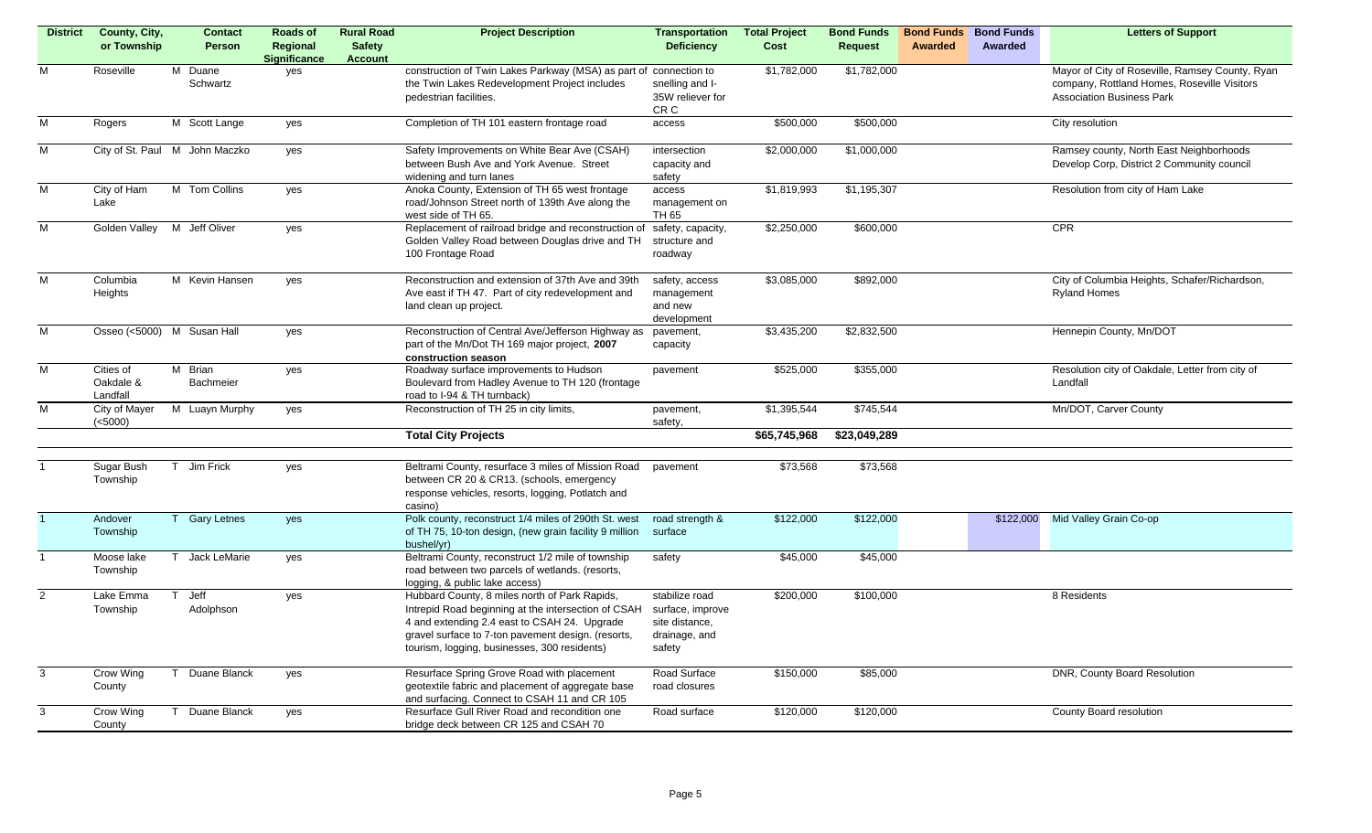| <b>District</b> | County, City,            | <b>Contact</b>                 | <b>Roads of</b>                 | <b>Rural Road</b>               | <b>Project Description</b>                                                                                     | <b>Transportation</b>      | <b>Total Project</b> | <b>Bond Funds</b> | <b>Bond Funds</b> | <b>Bond Funds</b> | <b>Letters of Support</b>                       |
|-----------------|--------------------------|--------------------------------|---------------------------------|---------------------------------|----------------------------------------------------------------------------------------------------------------|----------------------------|----------------------|-------------------|-------------------|-------------------|-------------------------------------------------|
|                 | or Township              | Person                         | Regional<br><b>Significance</b> | <b>Safety</b><br><b>Account</b> |                                                                                                                | <b>Deficiency</b>          | Cost                 | <b>Request</b>    | Awarded           | Awarded           |                                                 |
| M               | Roseville                | M Duane                        | yes                             |                                 | construction of Twin Lakes Parkway (MSA) as part of connection to                                              |                            | \$1,782,000          | \$1,782,000       |                   |                   | Mayor of City of Roseville, Ramsey County, Ryan |
|                 |                          | Schwartz                       |                                 |                                 | the Twin Lakes Redevelopment Project includes                                                                  | snelling and I-            |                      |                   |                   |                   | company, Rottland Homes, Roseville Visitors     |
|                 |                          |                                |                                 |                                 | pedestrian facilities.                                                                                         | 35W reliever for           |                      |                   |                   |                   | <b>Association Business Park</b>                |
| M               | Rogers                   | M Scott Lange                  | yes                             |                                 | Completion of TH 101 eastern frontage road                                                                     | CR C<br>access             | \$500,000            | \$500,000         |                   |                   | City resolution                                 |
|                 |                          |                                |                                 |                                 |                                                                                                                |                            |                      |                   |                   |                   |                                                 |
| M               |                          | City of St. Paul M John Maczko | yes                             |                                 | Safety Improvements on White Bear Ave (CSAH)                                                                   | intersection               | \$2,000,000          | \$1,000,000       |                   |                   | Ramsey county, North East Neighborhoods         |
|                 |                          |                                |                                 |                                 | between Bush Ave and York Avenue. Street                                                                       | capacity and               |                      |                   |                   |                   | Develop Corp, District 2 Community council      |
| M               | City of Ham              | M Tom Collins                  |                                 |                                 | widening and turn lanes<br>Anoka County, Extension of TH 65 west frontage                                      | safety<br>access           | \$1,819,993          | \$1,195,307       |                   |                   | Resolution from city of Ham Lake                |
|                 | Lake                     |                                | yes                             |                                 | road/Johnson Street north of 139th Ave along the                                                               | management on              |                      |                   |                   |                   |                                                 |
|                 |                          |                                |                                 |                                 | west side of TH 65.                                                                                            | TH 65                      |                      |                   |                   |                   |                                                 |
| $\overline{M}$  |                          | Golden Valley M Jeff Oliver    | yes                             |                                 | Replacement of railroad bridge and reconstruction of                                                           | safety, capacity,          | \$2,250,000          | \$600,000         |                   |                   | CPR                                             |
|                 |                          |                                |                                 |                                 | Golden Valley Road between Douglas drive and TH                                                                | structure and              |                      |                   |                   |                   |                                                 |
|                 |                          |                                |                                 |                                 | 100 Frontage Road                                                                                              | roadway                    |                      |                   |                   |                   |                                                 |
| $\overline{M}$  | Columbia                 | M Kevin Hansen                 | yes                             |                                 | Reconstruction and extension of 37th Ave and 39th                                                              | safety, access             | \$3,085,000          | \$892,000         |                   |                   | City of Columbia Heights, Schafer/Richardson,   |
|                 | Heights                  |                                |                                 |                                 | Ave east if TH 47. Part of city redevelopment and                                                              | management                 |                      |                   |                   |                   | <b>Ryland Homes</b>                             |
|                 |                          |                                |                                 |                                 | land clean up project.                                                                                         | and new                    |                      |                   |                   |                   |                                                 |
|                 |                          |                                |                                 |                                 |                                                                                                                | development                |                      |                   |                   |                   |                                                 |
| M               |                          | Osseo (<5000) M Susan Hall     | yes                             |                                 | Reconstruction of Central Ave/Jefferson Highway as                                                             | pavement,                  | \$3,435,200          | \$2,832,500       |                   |                   | Hennepin County, Mn/DOT                         |
|                 |                          |                                |                                 |                                 | part of the Mn/Dot TH 169 major project, 2007<br>construction season                                           | capacity                   |                      |                   |                   |                   |                                                 |
| $\overline{M}$  | Cities of                | M Brian                        | yes                             |                                 | Roadway surface improvements to Hudson                                                                         | pavement                   | \$525,000            | \$355,000         |                   |                   | Resolution city of Oakdale, Letter from city of |
|                 | Oakdale &                | Bachmeier                      |                                 |                                 | Boulevard from Hadley Avenue to TH 120 (frontage                                                               |                            |                      |                   |                   |                   | Landfall                                        |
|                 | Landfall                 |                                |                                 |                                 | road to I-94 & TH turnback)                                                                                    |                            |                      |                   |                   |                   |                                                 |
| M               | City of Mayer<br>(<5000) | M Luayn Murphy                 | yes                             |                                 | Reconstruction of TH 25 in city limits,                                                                        | pavement,<br>safety,       | \$1,395,544          | \$745,544         |                   |                   | Mn/DOT, Carver County                           |
|                 |                          |                                |                                 |                                 | <b>Total City Projects</b>                                                                                     |                            | \$65,745,968         | \$23,049,289      |                   |                   |                                                 |
|                 |                          |                                |                                 |                                 |                                                                                                                |                            |                      |                   |                   |                   |                                                 |
|                 | Sugar Bush               | Jim Frick                      | yes                             |                                 | Beltrami County, resurface 3 miles of Mission Road                                                             | pavement                   | \$73,568             | \$73,568          |                   |                   |                                                 |
|                 | Township                 |                                |                                 |                                 | between CR 20 & CR13. (schools, emergency                                                                      |                            |                      |                   |                   |                   |                                                 |
|                 |                          |                                |                                 |                                 | response vehicles, resorts, logging, Potlatch and                                                              |                            |                      |                   |                   |                   |                                                 |
|                 |                          |                                |                                 |                                 | casino)                                                                                                        |                            |                      |                   |                   |                   |                                                 |
|                 | Andover<br>Township      | <b>Gary Letnes</b>             | yes                             |                                 | Polk county, reconstruct 1/4 miles of 290th St. west<br>of TH 75, 10-ton design, (new grain facility 9 million | road strength &<br>surface | \$122,000            | \$122,000         |                   | \$122,000         | Mid Valley Grain Co-op                          |
|                 |                          |                                |                                 |                                 | bushel/yr)                                                                                                     |                            |                      |                   |                   |                   |                                                 |
| $\mathbf{1}$    | Moose lake               | Jack LeMarie                   | yes                             |                                 | Beltrami County, reconstruct 1/2 mile of township                                                              | safety                     | \$45,000             | \$45,000          |                   |                   |                                                 |
|                 | Township                 |                                |                                 |                                 | road between two parcels of wetlands. (resorts,                                                                |                            |                      |                   |                   |                   |                                                 |
|                 |                          |                                |                                 |                                 | logging, & public lake access)                                                                                 |                            |                      |                   |                   |                   |                                                 |
| $\overline{2}$  | Lake Emma                | Jeff                           | yes                             |                                 | Hubbard County, 8 miles north of Park Rapids,                                                                  | stabilize road             | \$200,000            | \$100,000         |                   |                   | 8 Residents                                     |
|                 | Township                 | Adolphson                      |                                 |                                 | Intrepid Road beginning at the intersection of CSAH                                                            | surface, improve           |                      |                   |                   |                   |                                                 |
|                 |                          |                                |                                 |                                 | 4 and extending 2.4 east to CSAH 24. Upgrade                                                                   | site distance,             |                      |                   |                   |                   |                                                 |
|                 |                          |                                |                                 |                                 | gravel surface to 7-ton pavement design. (resorts,                                                             | drainage, and              |                      |                   |                   |                   |                                                 |
|                 |                          |                                |                                 |                                 | tourism, logging, businesses, 300 residents)                                                                   | safety                     |                      |                   |                   |                   |                                                 |
| 3               | Crow Wing                | Duane Blanck<br>T.             | yes                             |                                 | Resurface Spring Grove Road with placement                                                                     | Road Surface               | \$150,000            | \$85,000          |                   |                   | DNR, County Board Resolution                    |
|                 | County                   |                                |                                 |                                 | geotextile fabric and placement of aggregate base                                                              | road closures              |                      |                   |                   |                   |                                                 |
|                 |                          |                                |                                 |                                 | and surfacing. Connect to CSAH 11 and CR 105                                                                   |                            |                      |                   |                   |                   |                                                 |
| 3               | Crow Wing                | Duane Blanck                   | yes                             |                                 | Resurface Gull River Road and recondition one                                                                  | Road surface               | \$120,000            | \$120,000         |                   |                   | County Board resolution                         |
|                 | County                   |                                |                                 |                                 | bridge deck between CR 125 and CSAH 70                                                                         |                            |                      |                   |                   |                   |                                                 |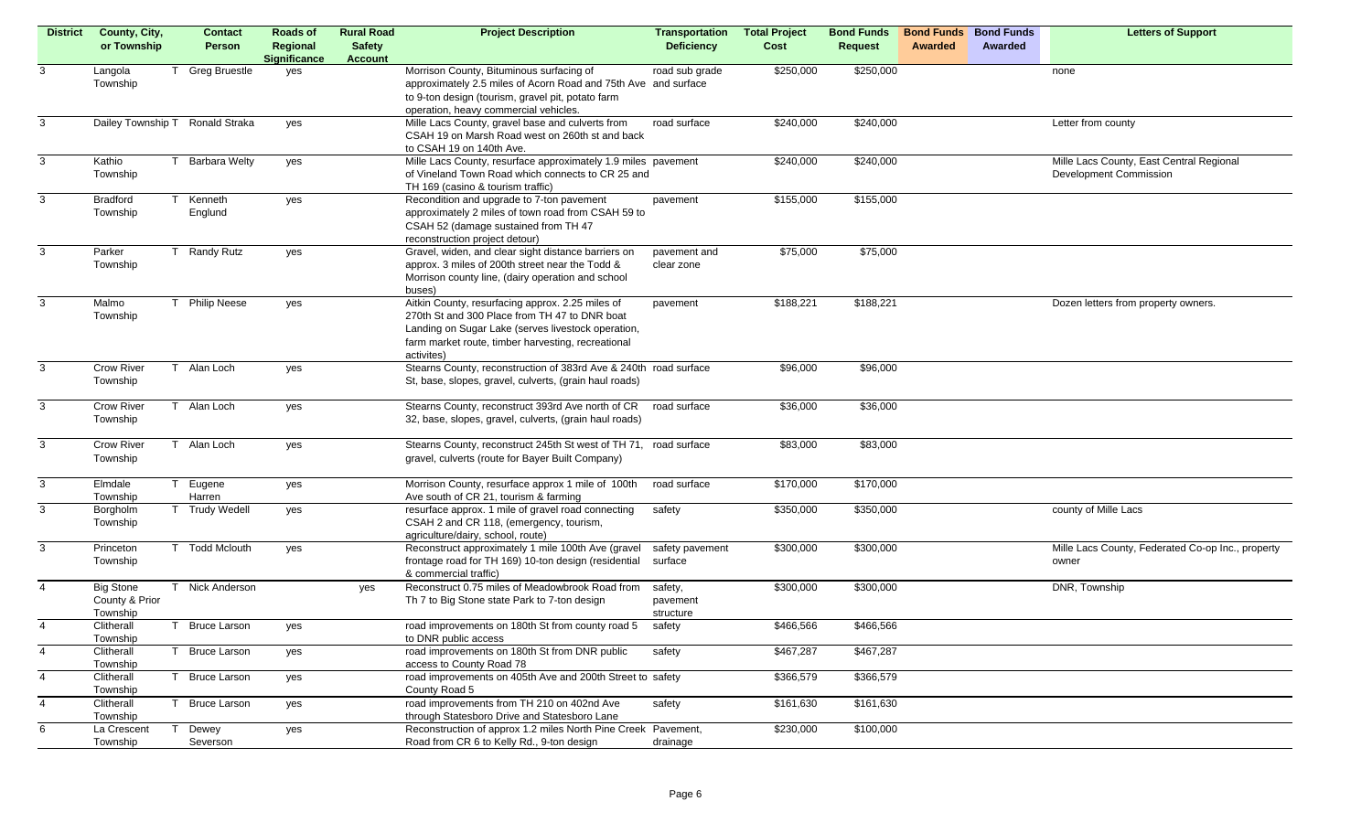| <b>District</b> | County, City,                   | <b>Contact</b>       | Roads of            | <b>Rural Road</b> | <b>Project Description</b>                                                                                          | <b>Transportation</b> | <b>Total Project</b> | <b>Bond Funds</b> | <b>Bond Funds</b> | <b>Bond Funds</b> | <b>Letters of Support</b>                         |
|-----------------|---------------------------------|----------------------|---------------------|-------------------|---------------------------------------------------------------------------------------------------------------------|-----------------------|----------------------|-------------------|-------------------|-------------------|---------------------------------------------------|
|                 | or Township                     | Person               | Regional            | <b>Safety</b>     |                                                                                                                     | <b>Deficiency</b>     | Cost                 | <b>Request</b>    | Awarded           | Awarded           |                                                   |
|                 |                                 |                      | <b>Significance</b> | <b>Account</b>    |                                                                                                                     |                       |                      |                   |                   |                   |                                                   |
| 3               | Langola                         | <b>Greg Bruestle</b> | yes                 |                   | Morrison County, Bituminous surfacing of                                                                            | road sub grade        | \$250,000            | \$250,000         |                   |                   | none                                              |
|                 | Township                        |                      |                     |                   | approximately 2.5 miles of Acorn Road and 75th Ave and surface<br>to 9-ton design (tourism, gravel pit, potato farm |                       |                      |                   |                   |                   |                                                   |
|                 |                                 |                      |                     |                   | operation, heavy commercial vehicles.                                                                               |                       |                      |                   |                   |                   |                                                   |
| 3               | Dailey Township T Ronald Straka |                      | yes                 |                   | Mille Lacs County, gravel base and culverts from                                                                    | road surface          | \$240,000            | \$240,000         |                   |                   | Letter from county                                |
|                 |                                 |                      |                     |                   | CSAH 19 on Marsh Road west on 260th st and back                                                                     |                       |                      |                   |                   |                   |                                                   |
|                 |                                 |                      |                     |                   | to CSAH 19 on 140th Ave.                                                                                            |                       |                      |                   |                   |                   |                                                   |
| 3               | Kathio                          | <b>Barbara Welty</b> | yes                 |                   | Mille Lacs County, resurface approximately 1.9 miles pavement                                                       |                       | \$240,000            | \$240,000         |                   |                   | Mille Lacs County, East Central Regional          |
|                 | Township                        |                      |                     |                   | of Vineland Town Road which connects to CR 25 and                                                                   |                       |                      |                   |                   |                   | Development Commission                            |
|                 |                                 |                      |                     |                   | TH 169 (casino & tourism traffic)                                                                                   |                       |                      |                   |                   |                   |                                                   |
| 3               | <b>Bradford</b>                 | Kenneth              | yes                 |                   | Recondition and upgrade to 7-ton pavement                                                                           | pavement              | \$155,000            | \$155,000         |                   |                   |                                                   |
|                 | Township                        | Englund              |                     |                   | approximately 2 miles of town road from CSAH 59 to                                                                  |                       |                      |                   |                   |                   |                                                   |
|                 |                                 |                      |                     |                   | CSAH 52 (damage sustained from TH 47                                                                                |                       |                      |                   |                   |                   |                                                   |
| 3               | Parker                          | <b>Randy Rutz</b>    |                     |                   | reconstruction project detour)<br>Gravel, widen, and clear sight distance barriers on                               | pavement and          | \$75,000             | \$75,000          |                   |                   |                                                   |
|                 | Township                        |                      | yes                 |                   | approx. 3 miles of 200th street near the Todd &                                                                     | clear zone            |                      |                   |                   |                   |                                                   |
|                 |                                 |                      |                     |                   | Morrison county line, (dairy operation and school                                                                   |                       |                      |                   |                   |                   |                                                   |
|                 |                                 |                      |                     |                   | buses)                                                                                                              |                       |                      |                   |                   |                   |                                                   |
| 3               | Malmo                           | <b>Philip Neese</b>  | yes                 |                   | Aitkin County, resurfacing approx. 2.25 miles of                                                                    | pavement              | \$188,221            | \$188,221         |                   |                   | Dozen letters from property owners.               |
|                 | Township                        |                      |                     |                   | 270th St and 300 Place from TH 47 to DNR boat                                                                       |                       |                      |                   |                   |                   |                                                   |
|                 |                                 |                      |                     |                   | Landing on Sugar Lake (serves livestock operation,                                                                  |                       |                      |                   |                   |                   |                                                   |
|                 |                                 |                      |                     |                   | farm market route, timber harvesting, recreational                                                                  |                       |                      |                   |                   |                   |                                                   |
|                 |                                 |                      |                     |                   | activites)                                                                                                          |                       |                      |                   |                   |                   |                                                   |
| 3               | <b>Crow River</b><br>T          | Alan Loch            | yes                 |                   | Stearns County, reconstruction of 383rd Ave & 240th road surface                                                    |                       | \$96,000             | \$96,000          |                   |                   |                                                   |
|                 | Township                        |                      |                     |                   | St, base, slopes, gravel, culverts, (grain haul roads)                                                              |                       |                      |                   |                   |                   |                                                   |
| 3               | <b>Crow River</b><br>T          | Alan Loch            | yes                 |                   | Stearns County, reconstruct 393rd Ave north of CR                                                                   | road surface          | \$36,000             | \$36,000          |                   |                   |                                                   |
|                 | Township                        |                      |                     |                   | 32, base, slopes, gravel, culverts, (grain haul roads)                                                              |                       |                      |                   |                   |                   |                                                   |
|                 |                                 |                      |                     |                   |                                                                                                                     |                       |                      |                   |                   |                   |                                                   |
| 3               | <b>Crow River</b>               | T Alan Loch          | yes                 |                   | Stearns County, reconstruct 245th St west of TH 71, road surface                                                    |                       | \$83,000             | \$83,000          |                   |                   |                                                   |
|                 | Township                        |                      |                     |                   | gravel, culverts (route for Bayer Built Company)                                                                    |                       |                      |                   |                   |                   |                                                   |
|                 |                                 |                      |                     |                   |                                                                                                                     |                       |                      |                   |                   |                   |                                                   |
| 3               | Elmdale<br>T<br>Township        | Eugene<br>Harren     | yes                 |                   | Morrison County, resurface approx 1 mile of 100th<br>Ave south of CR 21, tourism & farming                          | road surface          | \$170,000            | \$170,000         |                   |                   |                                                   |
| 3               | Borgholm                        | <b>Trudy Wedell</b>  | yes                 |                   | resurface approx. 1 mile of gravel road connecting                                                                  | safety                | \$350,000            | \$350,000         |                   |                   | county of Mille Lacs                              |
|                 | Township                        |                      |                     |                   | CSAH 2 and CR 118, (emergency, tourism,                                                                             |                       |                      |                   |                   |                   |                                                   |
|                 |                                 |                      |                     |                   | agriculture/dairy, school, route)                                                                                   |                       |                      |                   |                   |                   |                                                   |
| $\overline{3}$  | Princeton                       | <b>Todd Mclouth</b>  | yes                 |                   | Reconstruct approximately 1 mile 100th Ave (gravel                                                                  | safety pavement       | \$300,000            | \$300,000         |                   |                   | Mille Lacs County, Federated Co-op Inc., property |
|                 | Township                        |                      |                     |                   | frontage road for TH 169) 10-ton design (residential                                                                | surface               |                      |                   |                   |                   | owner                                             |
|                 |                                 |                      |                     |                   | & commercial traffic)                                                                                               |                       |                      |                   |                   |                   |                                                   |
| $\overline{4}$  | <b>Big Stone</b>                | Nick Anderson        |                     | yes               | Reconstruct 0.75 miles of Meadowbrook Road from                                                                     | safety,               | \$300,000            | \$300,000         |                   |                   | DNR, Township                                     |
|                 | County & Prior                  |                      |                     |                   | Th 7 to Big Stone state Park to 7-ton design                                                                        | pavement              |                      |                   |                   |                   |                                                   |
| 4               | Township<br>Clitherall          | <b>Bruce Larson</b>  | yes                 |                   | road improvements on 180th St from county road 5                                                                    | structure<br>safety   | \$466,566            | \$466,566         |                   |                   |                                                   |
|                 | Township                        |                      |                     |                   | to DNR public access                                                                                                |                       |                      |                   |                   |                   |                                                   |
| $\overline{4}$  | Clitherall<br>$\top$            | <b>Bruce Larson</b>  | yes                 |                   | road improvements on 180th St from DNR public                                                                       | safety                | \$467,287            | \$467,287         |                   |                   |                                                   |
|                 | Township                        |                      |                     |                   | access to County Road 78                                                                                            |                       |                      |                   |                   |                   |                                                   |
| $\overline{4}$  | Clitherall<br>$\top$            | <b>Bruce Larson</b>  | yes                 |                   | road improvements on 405th Ave and 200th Street to safety                                                           |                       | \$366,579            | \$366,579         |                   |                   |                                                   |
|                 | Township                        |                      |                     |                   | County Road 5                                                                                                       |                       |                      |                   |                   |                   |                                                   |
| $\overline{4}$  | Clitherall                      | <b>Bruce Larson</b>  | yes                 |                   | road improvements from TH 210 on 402nd Ave                                                                          | safety                | \$161,630            | \$161,630         |                   |                   |                                                   |
| 6               | Township<br>La Crescent         | Dewey                |                     |                   | through Statesboro Drive and Statesboro Lane<br>Reconstruction of approx 1.2 miles North Pine Creek Pavement,       |                       | \$230,000            | \$100,000         |                   |                   |                                                   |
|                 | Township                        | Severson             | yes                 |                   | Road from CR 6 to Kelly Rd., 9-ton design                                                                           | drainage              |                      |                   |                   |                   |                                                   |
|                 |                                 |                      |                     |                   |                                                                                                                     |                       |                      |                   |                   |                   |                                                   |